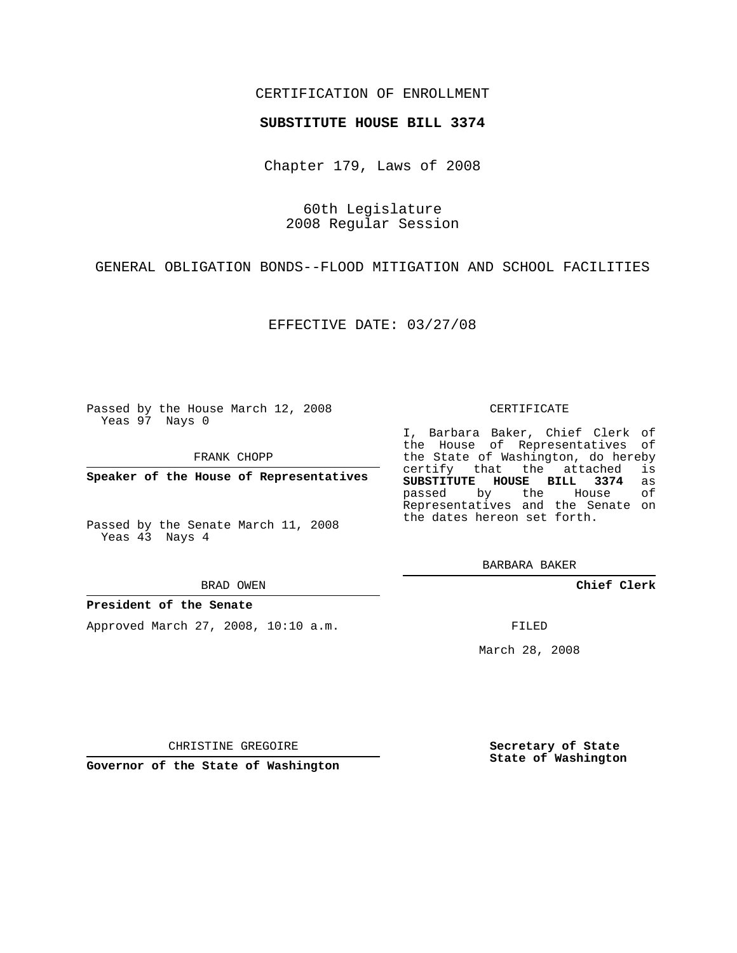## CERTIFICATION OF ENROLLMENT

### **SUBSTITUTE HOUSE BILL 3374**

Chapter 179, Laws of 2008

60th Legislature 2008 Regular Session

GENERAL OBLIGATION BONDS--FLOOD MITIGATION AND SCHOOL FACILITIES

EFFECTIVE DATE: 03/27/08

Passed by the House March 12, 2008 Yeas 97 Nays 0

FRANK CHOPP

**Speaker of the House of Representatives**

Passed by the Senate March 11, 2008 Yeas 43 Nays 4

BRAD OWEN

#### **President of the Senate**

Approved March 27, 2008, 10:10 a.m.

#### CERTIFICATE

I, Barbara Baker, Chief Clerk of the House of Representatives of the State of Washington, do hereby<br>certify that the attached is certify that the attached **SUBSTITUTE HOUSE BILL 3374** as passed by the House Representatives and the Senate on the dates hereon set forth.

BARBARA BAKER

**Chief Clerk**

FILED

March 28, 2008

**Secretary of State State of Washington**

CHRISTINE GREGOIRE

**Governor of the State of Washington**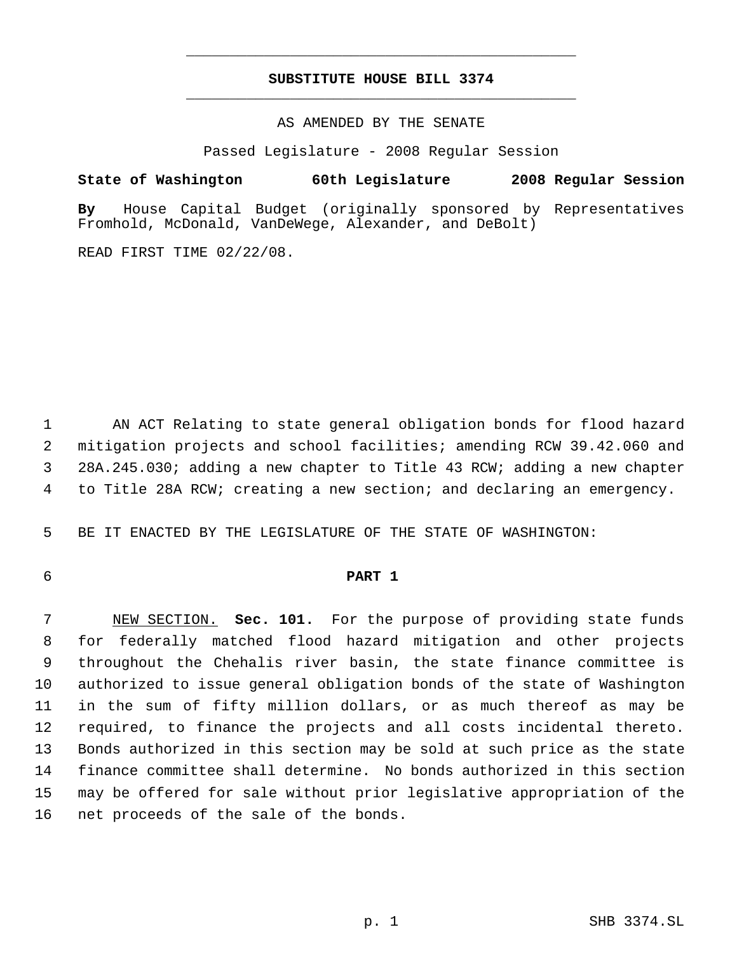# **SUBSTITUTE HOUSE BILL 3374** \_\_\_\_\_\_\_\_\_\_\_\_\_\_\_\_\_\_\_\_\_\_\_\_\_\_\_\_\_\_\_\_\_\_\_\_\_\_\_\_\_\_\_\_\_

\_\_\_\_\_\_\_\_\_\_\_\_\_\_\_\_\_\_\_\_\_\_\_\_\_\_\_\_\_\_\_\_\_\_\_\_\_\_\_\_\_\_\_\_\_

AS AMENDED BY THE SENATE

Passed Legislature - 2008 Regular Session

**State of Washington 60th Legislature 2008 Regular Session**

**By** House Capital Budget (originally sponsored by Representatives Fromhold, McDonald, VanDeWege, Alexander, and DeBolt)

READ FIRST TIME 02/22/08.

 AN ACT Relating to state general obligation bonds for flood hazard mitigation projects and school facilities; amending RCW 39.42.060 and 28A.245.030; adding a new chapter to Title 43 RCW; adding a new chapter to Title 28A RCW; creating a new section; and declaring an emergency.

BE IT ENACTED BY THE LEGISLATURE OF THE STATE OF WASHINGTON:

# **PART 1**

 NEW SECTION. **Sec. 101.** For the purpose of providing state funds for federally matched flood hazard mitigation and other projects throughout the Chehalis river basin, the state finance committee is authorized to issue general obligation bonds of the state of Washington in the sum of fifty million dollars, or as much thereof as may be required, to finance the projects and all costs incidental thereto. Bonds authorized in this section may be sold at such price as the state finance committee shall determine. No bonds authorized in this section may be offered for sale without prior legislative appropriation of the net proceeds of the sale of the bonds.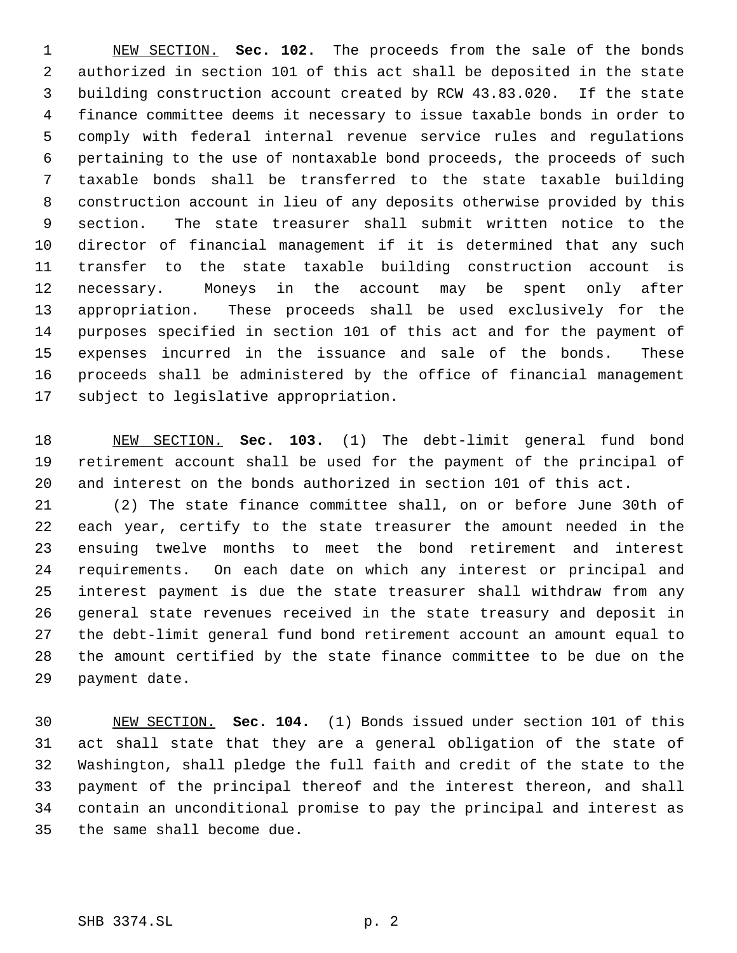NEW SECTION. **Sec. 102.** The proceeds from the sale of the bonds authorized in section 101 of this act shall be deposited in the state building construction account created by RCW 43.83.020. If the state finance committee deems it necessary to issue taxable bonds in order to comply with federal internal revenue service rules and regulations pertaining to the use of nontaxable bond proceeds, the proceeds of such taxable bonds shall be transferred to the state taxable building construction account in lieu of any deposits otherwise provided by this section. The state treasurer shall submit written notice to the director of financial management if it is determined that any such transfer to the state taxable building construction account is necessary. Moneys in the account may be spent only after appropriation. These proceeds shall be used exclusively for the purposes specified in section 101 of this act and for the payment of expenses incurred in the issuance and sale of the bonds. These proceeds shall be administered by the office of financial management subject to legislative appropriation.

 NEW SECTION. **Sec. 103.** (1) The debt-limit general fund bond retirement account shall be used for the payment of the principal of and interest on the bonds authorized in section 101 of this act.

 (2) The state finance committee shall, on or before June 30th of each year, certify to the state treasurer the amount needed in the ensuing twelve months to meet the bond retirement and interest requirements. On each date on which any interest or principal and interest payment is due the state treasurer shall withdraw from any general state revenues received in the state treasury and deposit in the debt-limit general fund bond retirement account an amount equal to the amount certified by the state finance committee to be due on the payment date.

 NEW SECTION. **Sec. 104.** (1) Bonds issued under section 101 of this act shall state that they are a general obligation of the state of Washington, shall pledge the full faith and credit of the state to the payment of the principal thereof and the interest thereon, and shall contain an unconditional promise to pay the principal and interest as the same shall become due.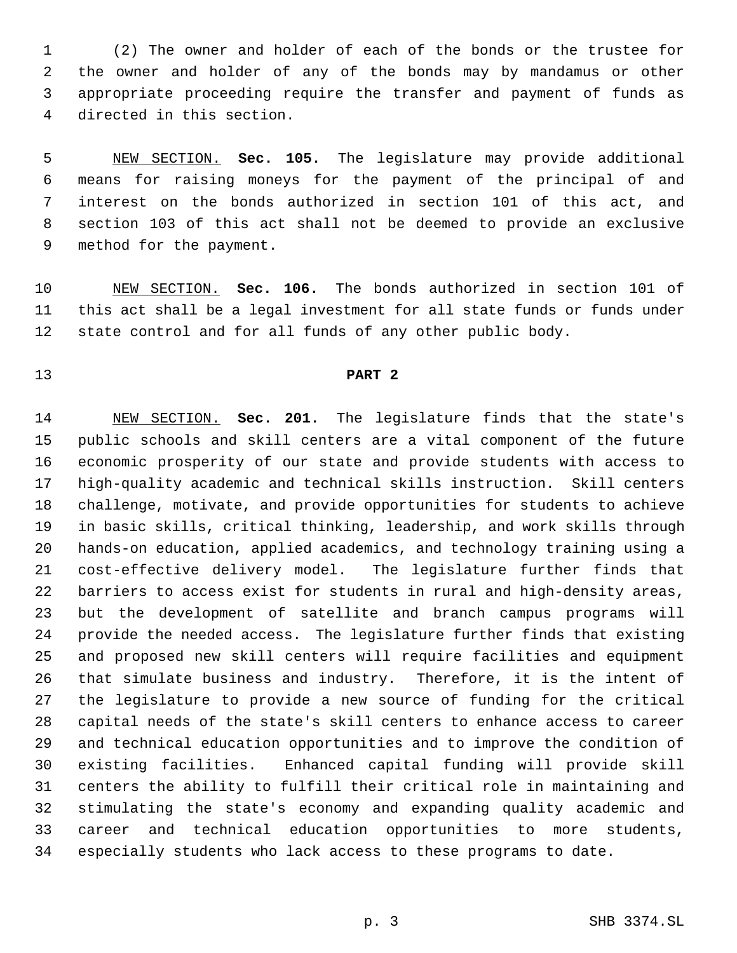(2) The owner and holder of each of the bonds or the trustee for the owner and holder of any of the bonds may by mandamus or other appropriate proceeding require the transfer and payment of funds as directed in this section.

 NEW SECTION. **Sec. 105.** The legislature may provide additional means for raising moneys for the payment of the principal of and interest on the bonds authorized in section 101 of this act, and section 103 of this act shall not be deemed to provide an exclusive method for the payment.

 NEW SECTION. **Sec. 106.** The bonds authorized in section 101 of this act shall be a legal investment for all state funds or funds under state control and for all funds of any other public body.

## **PART 2**

 NEW SECTION. **Sec. 201.** The legislature finds that the state's public schools and skill centers are a vital component of the future economic prosperity of our state and provide students with access to high-quality academic and technical skills instruction. Skill centers challenge, motivate, and provide opportunities for students to achieve in basic skills, critical thinking, leadership, and work skills through hands-on education, applied academics, and technology training using a cost-effective delivery model. The legislature further finds that barriers to access exist for students in rural and high-density areas, but the development of satellite and branch campus programs will provide the needed access. The legislature further finds that existing and proposed new skill centers will require facilities and equipment that simulate business and industry. Therefore, it is the intent of the legislature to provide a new source of funding for the critical capital needs of the state's skill centers to enhance access to career and technical education opportunities and to improve the condition of existing facilities. Enhanced capital funding will provide skill centers the ability to fulfill their critical role in maintaining and stimulating the state's economy and expanding quality academic and career and technical education opportunities to more students, especially students who lack access to these programs to date.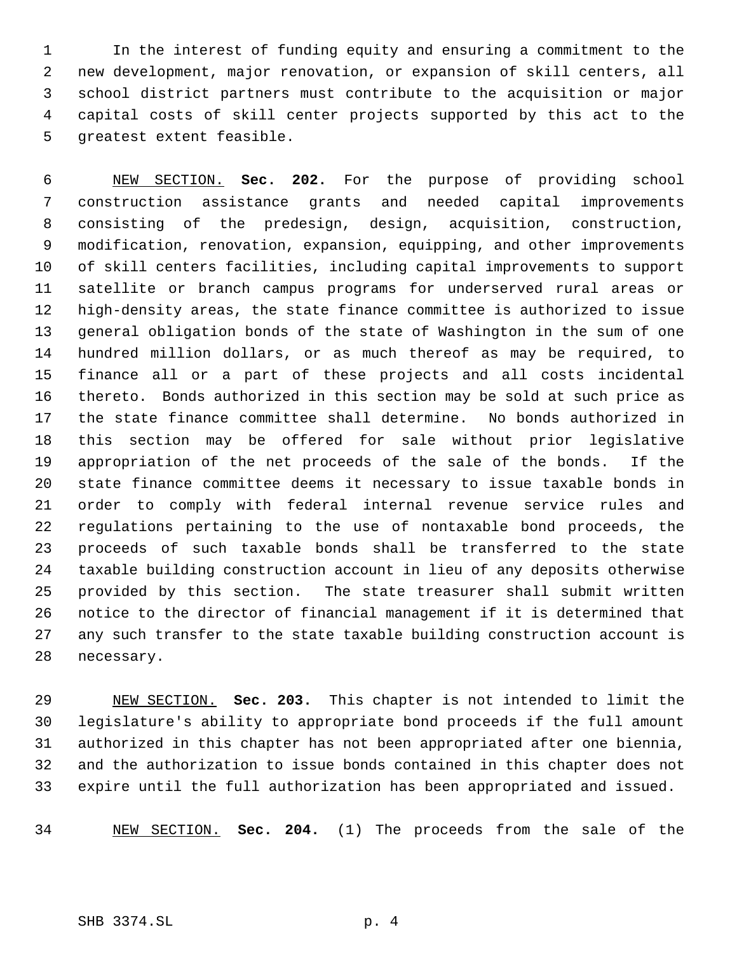In the interest of funding equity and ensuring a commitment to the new development, major renovation, or expansion of skill centers, all school district partners must contribute to the acquisition or major capital costs of skill center projects supported by this act to the greatest extent feasible.

 NEW SECTION. **Sec. 202.** For the purpose of providing school construction assistance grants and needed capital improvements consisting of the predesign, design, acquisition, construction, modification, renovation, expansion, equipping, and other improvements of skill centers facilities, including capital improvements to support satellite or branch campus programs for underserved rural areas or high-density areas, the state finance committee is authorized to issue general obligation bonds of the state of Washington in the sum of one hundred million dollars, or as much thereof as may be required, to finance all or a part of these projects and all costs incidental thereto. Bonds authorized in this section may be sold at such price as the state finance committee shall determine. No bonds authorized in this section may be offered for sale without prior legislative appropriation of the net proceeds of the sale of the bonds. If the state finance committee deems it necessary to issue taxable bonds in order to comply with federal internal revenue service rules and regulations pertaining to the use of nontaxable bond proceeds, the proceeds of such taxable bonds shall be transferred to the state taxable building construction account in lieu of any deposits otherwise provided by this section. The state treasurer shall submit written notice to the director of financial management if it is determined that any such transfer to the state taxable building construction account is necessary.

 NEW SECTION. **Sec. 203.** This chapter is not intended to limit the legislature's ability to appropriate bond proceeds if the full amount authorized in this chapter has not been appropriated after one biennia, and the authorization to issue bonds contained in this chapter does not expire until the full authorization has been appropriated and issued.

NEW SECTION. **Sec. 204.** (1) The proceeds from the sale of the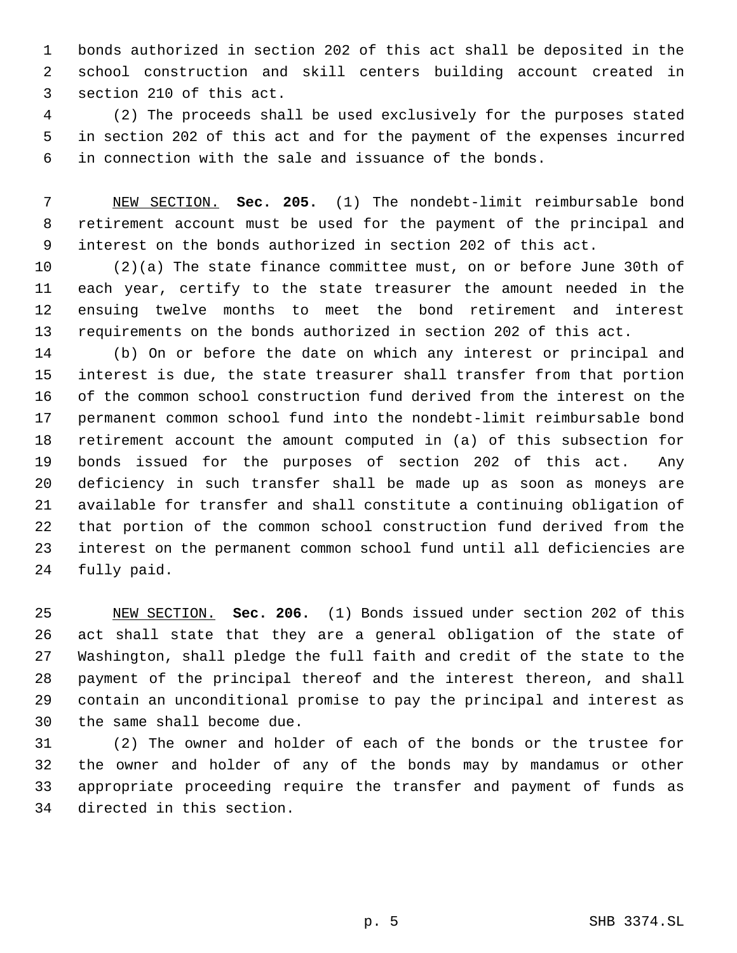bonds authorized in section 202 of this act shall be deposited in the school construction and skill centers building account created in section 210 of this act.

 (2) The proceeds shall be used exclusively for the purposes stated in section 202 of this act and for the payment of the expenses incurred in connection with the sale and issuance of the bonds.

 NEW SECTION. **Sec. 205.** (1) The nondebt-limit reimbursable bond retirement account must be used for the payment of the principal and interest on the bonds authorized in section 202 of this act.

 (2)(a) The state finance committee must, on or before June 30th of each year, certify to the state treasurer the amount needed in the ensuing twelve months to meet the bond retirement and interest requirements on the bonds authorized in section 202 of this act.

 (b) On or before the date on which any interest or principal and interest is due, the state treasurer shall transfer from that portion of the common school construction fund derived from the interest on the permanent common school fund into the nondebt-limit reimbursable bond retirement account the amount computed in (a) of this subsection for bonds issued for the purposes of section 202 of this act. Any deficiency in such transfer shall be made up as soon as moneys are available for transfer and shall constitute a continuing obligation of that portion of the common school construction fund derived from the interest on the permanent common school fund until all deficiencies are fully paid.

 NEW SECTION. **Sec. 206.** (1) Bonds issued under section 202 of this act shall state that they are a general obligation of the state of Washington, shall pledge the full faith and credit of the state to the payment of the principal thereof and the interest thereon, and shall contain an unconditional promise to pay the principal and interest as the same shall become due.

 (2) The owner and holder of each of the bonds or the trustee for the owner and holder of any of the bonds may by mandamus or other appropriate proceeding require the transfer and payment of funds as directed in this section.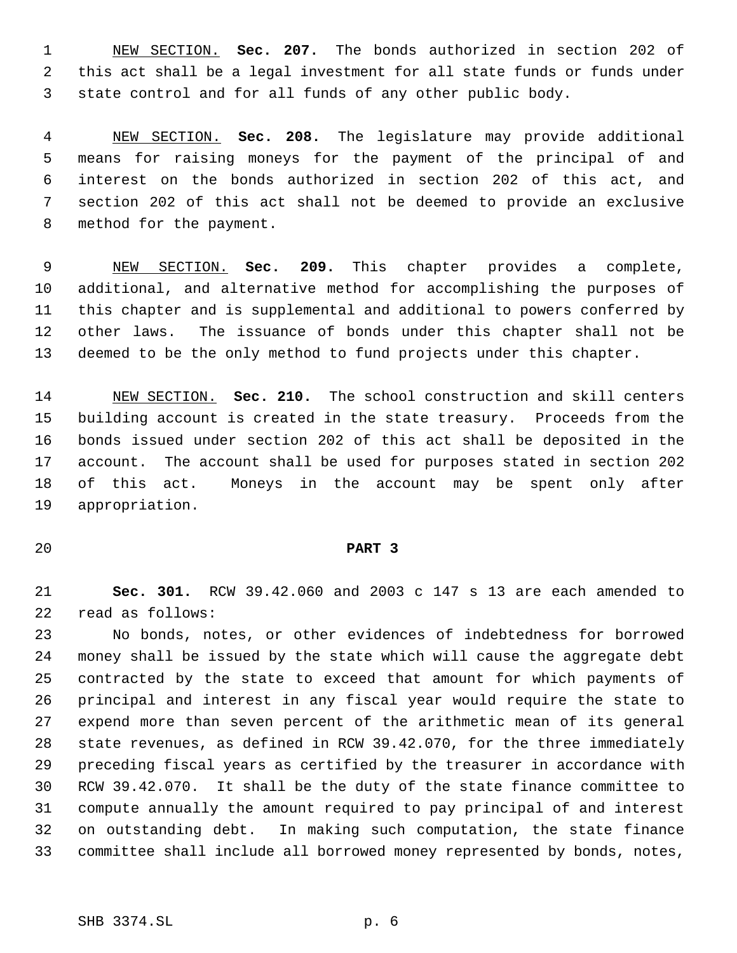NEW SECTION. **Sec. 207.** The bonds authorized in section 202 of this act shall be a legal investment for all state funds or funds under state control and for all funds of any other public body.

 NEW SECTION. **Sec. 208.** The legislature may provide additional means for raising moneys for the payment of the principal of and interest on the bonds authorized in section 202 of this act, and section 202 of this act shall not be deemed to provide an exclusive method for the payment.

 NEW SECTION. **Sec. 209.** This chapter provides a complete, additional, and alternative method for accomplishing the purposes of this chapter and is supplemental and additional to powers conferred by other laws. The issuance of bonds under this chapter shall not be deemed to be the only method to fund projects under this chapter.

 NEW SECTION. **Sec. 210.** The school construction and skill centers building account is created in the state treasury. Proceeds from the bonds issued under section 202 of this act shall be deposited in the account. The account shall be used for purposes stated in section 202 of this act. Moneys in the account may be spent only after appropriation.

## **PART 3**

 **Sec. 301.** RCW 39.42.060 and 2003 c 147 s 13 are each amended to read as follows:

 No bonds, notes, or other evidences of indebtedness for borrowed money shall be issued by the state which will cause the aggregate debt contracted by the state to exceed that amount for which payments of principal and interest in any fiscal year would require the state to expend more than seven percent of the arithmetic mean of its general state revenues, as defined in RCW 39.42.070, for the three immediately preceding fiscal years as certified by the treasurer in accordance with RCW 39.42.070. It shall be the duty of the state finance committee to compute annually the amount required to pay principal of and interest on outstanding debt. In making such computation, the state finance committee shall include all borrowed money represented by bonds, notes,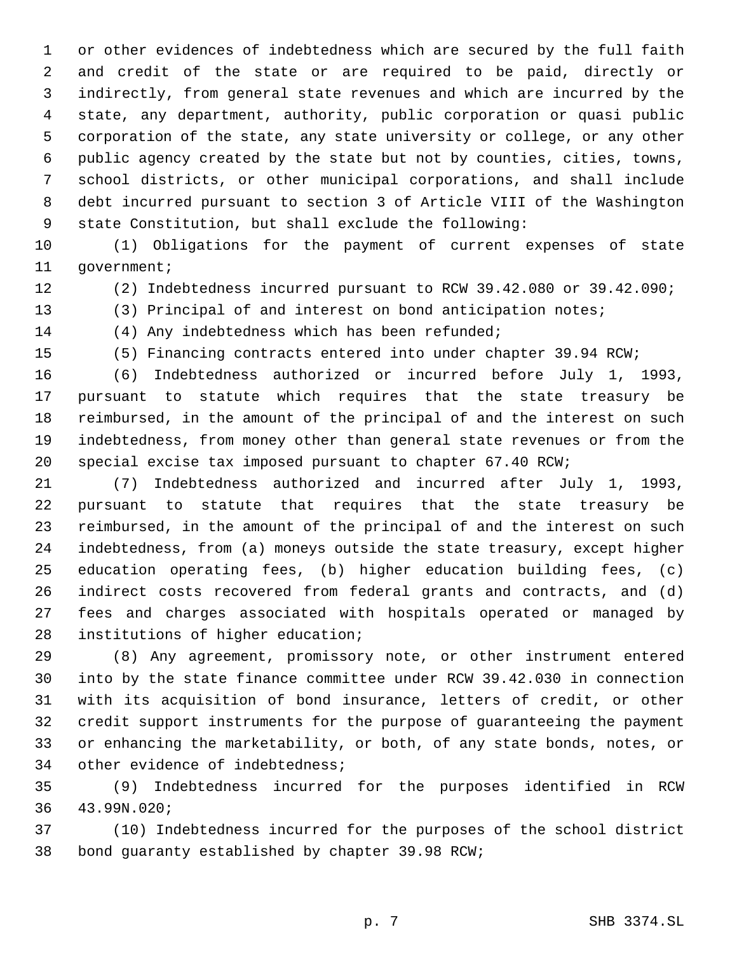or other evidences of indebtedness which are secured by the full faith and credit of the state or are required to be paid, directly or indirectly, from general state revenues and which are incurred by the state, any department, authority, public corporation or quasi public corporation of the state, any state university or college, or any other public agency created by the state but not by counties, cities, towns, school districts, or other municipal corporations, and shall include debt incurred pursuant to section 3 of Article VIII of the Washington state Constitution, but shall exclude the following:

 (1) Obligations for the payment of current expenses of state 11 government;

(2) Indebtedness incurred pursuant to RCW 39.42.080 or 39.42.090;

(3) Principal of and interest on bond anticipation notes;

(4) Any indebtedness which has been refunded;

(5) Financing contracts entered into under chapter 39.94 RCW;

 (6) Indebtedness authorized or incurred before July 1, 1993, pursuant to statute which requires that the state treasury be reimbursed, in the amount of the principal of and the interest on such indebtedness, from money other than general state revenues or from the special excise tax imposed pursuant to chapter 67.40 RCW;

 (7) Indebtedness authorized and incurred after July 1, 1993, pursuant to statute that requires that the state treasury be reimbursed, in the amount of the principal of and the interest on such indebtedness, from (a) moneys outside the state treasury, except higher education operating fees, (b) higher education building fees, (c) indirect costs recovered from federal grants and contracts, and (d) fees and charges associated with hospitals operated or managed by institutions of higher education;

 (8) Any agreement, promissory note, or other instrument entered into by the state finance committee under RCW 39.42.030 in connection with its acquisition of bond insurance, letters of credit, or other credit support instruments for the purpose of guaranteeing the payment or enhancing the marketability, or both, of any state bonds, notes, or other evidence of indebtedness;

 (9) Indebtedness incurred for the purposes identified in RCW 43.99N.020;

 (10) Indebtedness incurred for the purposes of the school district bond guaranty established by chapter 39.98 RCW;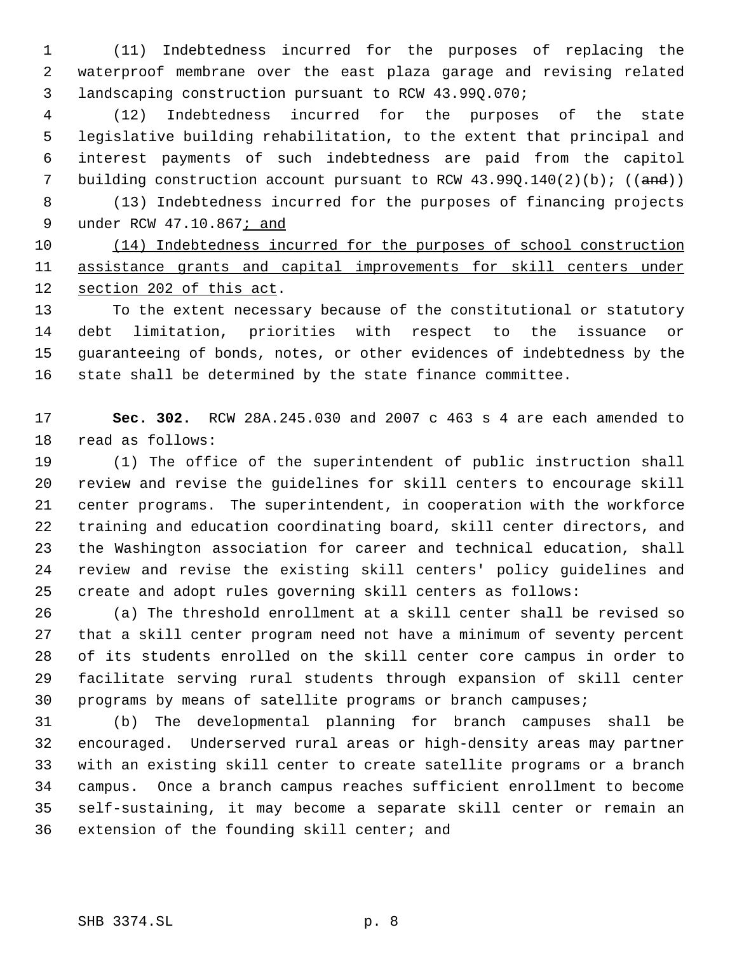(11) Indebtedness incurred for the purposes of replacing the waterproof membrane over the east plaza garage and revising related landscaping construction pursuant to RCW 43.99Q.070;

 (12) Indebtedness incurred for the purposes of the state legislative building rehabilitation, to the extent that principal and interest payments of such indebtedness are paid from the capitol 7 building construction account pursuant to RCW  $43.990.140(2)(b)$ ; ((and))

 (13) Indebtedness incurred for the purposes of financing projects 9 under RCW 47.10.867; and

 (14) Indebtedness incurred for the purposes of school construction assistance grants and capital improvements for skill centers under section 202 of this act.

 To the extent necessary because of the constitutional or statutory debt limitation, priorities with respect to the issuance or guaranteeing of bonds, notes, or other evidences of indebtedness by the state shall be determined by the state finance committee.

 **Sec. 302.** RCW 28A.245.030 and 2007 c 463 s 4 are each amended to read as follows:

 (1) The office of the superintendent of public instruction shall review and revise the guidelines for skill centers to encourage skill center programs. The superintendent, in cooperation with the workforce training and education coordinating board, skill center directors, and the Washington association for career and technical education, shall review and revise the existing skill centers' policy guidelines and create and adopt rules governing skill centers as follows:

 (a) The threshold enrollment at a skill center shall be revised so that a skill center program need not have a minimum of seventy percent of its students enrolled on the skill center core campus in order to facilitate serving rural students through expansion of skill center programs by means of satellite programs or branch campuses;

 (b) The developmental planning for branch campuses shall be encouraged. Underserved rural areas or high-density areas may partner with an existing skill center to create satellite programs or a branch campus. Once a branch campus reaches sufficient enrollment to become self-sustaining, it may become a separate skill center or remain an extension of the founding skill center; and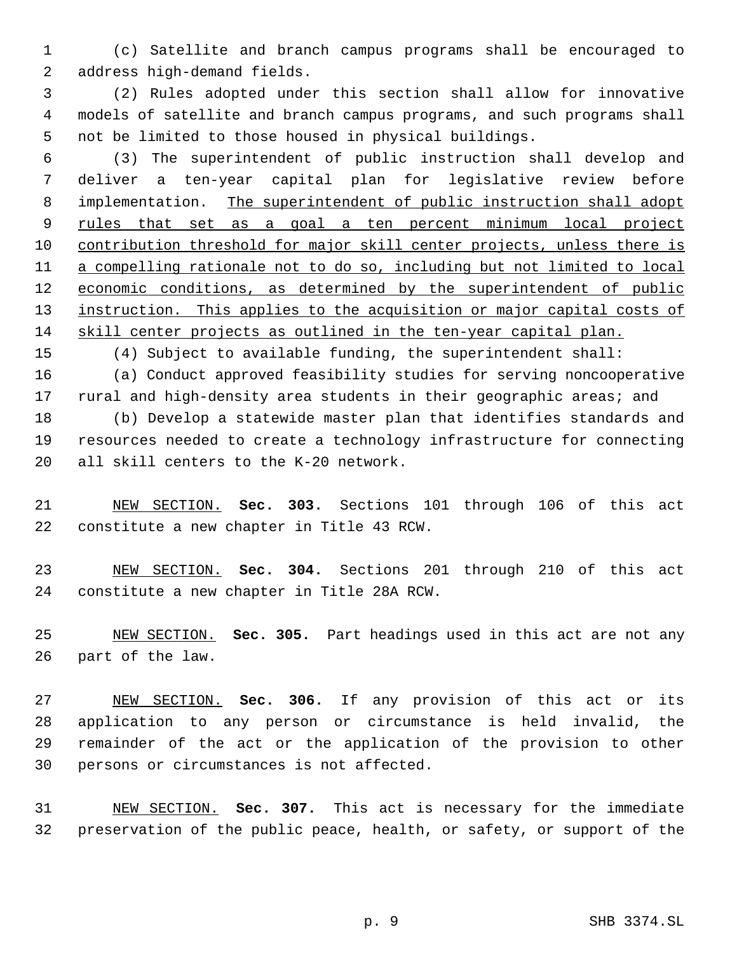(c) Satellite and branch campus programs shall be encouraged to address high-demand fields.

 (2) Rules adopted under this section shall allow for innovative models of satellite and branch campus programs, and such programs shall not be limited to those housed in physical buildings.

 (3) The superintendent of public instruction shall develop and deliver a ten-year capital plan for legislative review before implementation. The superintendent of public instruction shall adopt 9 rules that set as a goal a ten percent minimum local project contribution threshold for major skill center projects, unless there is a compelling rationale not to do so, including but not limited to local 12 economic conditions, as determined by the superintendent of public 13 instruction. This applies to the acquisition or major capital costs of skill center projects as outlined in the ten-year capital plan.

(4) Subject to available funding, the superintendent shall:

 (a) Conduct approved feasibility studies for serving noncooperative 17 rural and high-density area students in their geographic areas; and (b) Develop a statewide master plan that identifies standards and

 resources needed to create a technology infrastructure for connecting all skill centers to the K-20 network.

 NEW SECTION. **Sec. 303.** Sections 101 through 106 of this act constitute a new chapter in Title 43 RCW.

 NEW SECTION. **Sec. 304.** Sections 201 through 210 of this act constitute a new chapter in Title 28A RCW.

 NEW SECTION. **Sec. 305.** Part headings used in this act are not any part of the law.

 NEW SECTION. **Sec. 306.** If any provision of this act or its application to any person or circumstance is held invalid, the remainder of the act or the application of the provision to other persons or circumstances is not affected.

 NEW SECTION. **Sec. 307.** This act is necessary for the immediate preservation of the public peace, health, or safety, or support of the